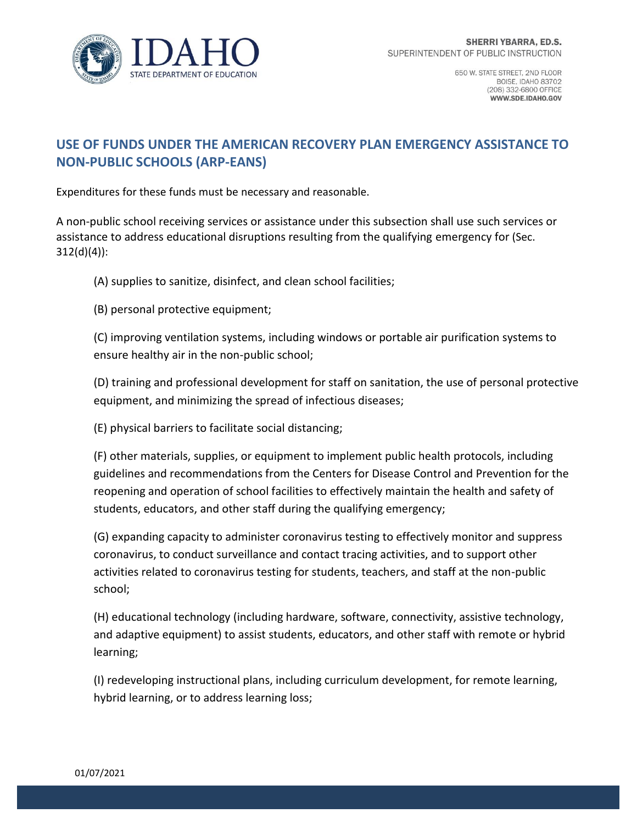

## **USE OF FUNDS UNDER THE AMERICAN RECOVERY PLAN EMERGENCY ASSISTANCE TO NON-PUBLIC SCHOOLS (ARP-EANS)**

Expenditures for these funds must be necessary and reasonable.

A non-public school receiving services or assistance under this subsection shall use such services or assistance to address educational disruptions resulting from the qualifying emergency for (Sec. 312(d)(4)):

(A) supplies to sanitize, disinfect, and clean school facilities;

(B) personal protective equipment;

(C) improving ventilation systems, including windows or portable air purification systems to ensure healthy air in the non-public school;

(D) training and professional development for staff on sanitation, the use of personal protective equipment, and minimizing the spread of infectious diseases;

(E) physical barriers to facilitate social distancing;

(F) other materials, supplies, or equipment to implement public health protocols, including guidelines and recommendations from the Centers for Disease Control and Prevention for the reopening and operation of school facilities to effectively maintain the health and safety of students, educators, and other staff during the qualifying emergency;

(G) expanding capacity to administer coronavirus testing to effectively monitor and suppress coronavirus, to conduct surveillance and contact tracing activities, and to support other activities related to coronavirus testing for students, teachers, and staff at the non-public school;

(H) educational technology (including hardware, software, connectivity, assistive technology, and adaptive equipment) to assist students, educators, and other staff with remote or hybrid learning;

(I) redeveloping instructional plans, including curriculum development, for remote learning, hybrid learning, or to address learning loss;